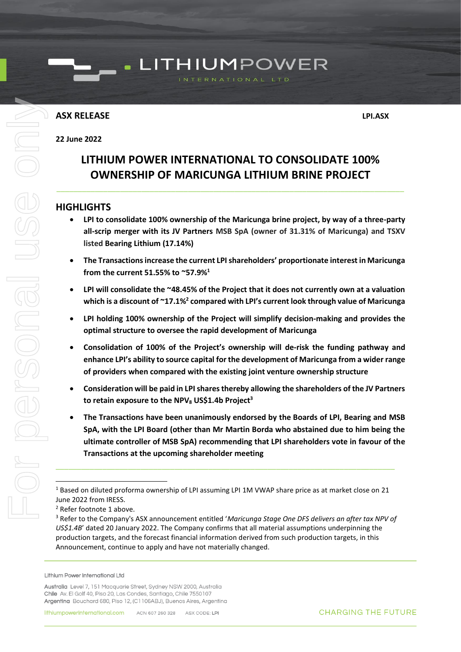### **ASX RELEASE LPI.ASX**

### **22 June 2022**

### **LITHIUM POWER INTERNATIONAL TO CONSOLIDATE 100% OWNERSHIP OF MARICUNGA LITHIUM BRINE PROJECT**

\_\_\_\_\_\_\_\_\_\_\_\_\_\_\_\_\_\_\_\_\_\_\_\_\_\_\_\_\_\_\_\_\_\_\_\_\_\_\_\_\_\_\_\_\_\_\_\_\_\_\_\_\_\_\_\_\_\_\_\_\_\_\_\_\_\_\_\_\_\_\_\_\_\_\_\_\_\_\_\_\_\_

### **HIGHLIGHTS**

- **LPI to consolidate 100% ownership of the Maricunga brine project, by way of a three-party all-scrip merger with its JV Partners MSB SpA (owner of 31.31% of Maricunga) and TSXV listed Bearing Lithium (17.14%)**
- **The Transactionsincrease the current LPI shareholders' proportionate interest in Maricunga from the current 51.55% to ~57.9%<sup>1</sup>**
- **LPI will consolidate the ~48.45% of the Project that it does not currently own at a valuation which is a discount of ~17.1%<sup>2</sup> compared with LPI's current look through value of Maricunga**
- **LPI holding 100% ownership of the Project will simplify decision-making and provides the optimal structure to oversee the rapid development of Maricunga**
- **Consolidation of 100% of the Project's ownership will de-risk the funding pathway and enhance LPI's ability to source capital for the development of Maricunga from a wider range of providers when compared with the existing joint venture ownership structure**
- **Consideration will be paid in LPI shares thereby allowing the shareholders of the JV Partners to retain exposure to the NPV<sup>8</sup> US\$1.4b Project<sup>3</sup>**
- <span id="page-0-0"></span>• **The Transactions have been unanimously endorsed by the Boards of LPI, Bearing and MSB SpA, with the LPI Board (other than Mr Martin Borda who abstained due to him being the ultimate controller of MSB SpA) recommending that LPI shareholders vote in favour of the Transactions at the upcoming shareholder meeting**

\_\_\_\_\_\_\_\_\_\_\_\_\_\_\_\_\_\_\_\_\_\_\_\_\_\_\_\_\_\_\_\_\_\_\_\_\_\_\_\_\_\_\_\_\_\_\_\_\_\_\_\_\_\_\_\_\_\_\_\_\_\_\_\_\_\_\_\_\_\_\_\_\_\_\_\_\_\_\_\_

Lithium Power International Ltd

<sup>1</sup> Based on diluted proforma ownership of LPI assuming LPI 1M VWAP share price as at market close on 21 June 2022 from IRESS.

<sup>2</sup> Refer footnote 1 above.

<sup>3</sup> Refer to the Company's ASX announcement entitled '*Maricunga Stage One DFS delivers an after tax NPV of US\$1.4B*' dated 20 January 2022. The Company confirms that all material assumptions underpinning the production targets, and the forecast financial information derived from such production targets, in this Announcement, continue to apply and have not materially changed.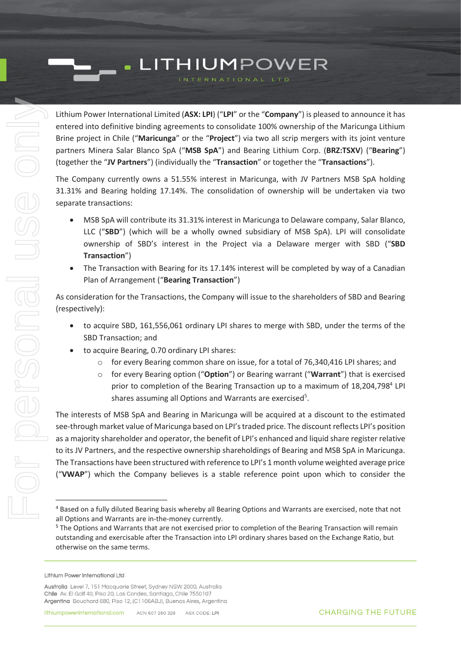Lithium Power International Limited (**ASX: LPI**) ("**LPI**" or the "**Company**") is pleased to announce it has entered into definitive binding agreements to consolidate 100% ownership of the Maricunga Lithium Brine project in Chile ("**Maricunga**" or the "**Project**") via two all scrip mergers with its joint venture partners Minera Salar Blanco SpA ("**MSB SpA**") and Bearing Lithium Corp. (**BRZ:TSXV**) ("**Bearing**") (together the "**JV Partners**") (individually the "**Transaction**" or together the "**Transactions**").

The Company currently owns a 51.55% interest in Maricunga, with JV Partners MSB SpA holding 31.31% and Bearing holding 17.14%. The consolidation of ownership will be undertaken via two separate transactions:

- MSB SpA will contribute its 31.31% interest in Maricunga to Delaware company, Salar Blanco, LLC ("**SBD**") (which will be a wholly owned subsidiary of MSB SpA). LPI will consolidate ownership of SBD's interest in the Project via a Delaware merger with SBD ("**SBD Transaction**")
- The Transaction with Bearing for its 17.14% interest will be completed by way of a Canadian Plan of Arrangement ("**Bearing Transaction**")

As consideration for the Transactions, the Company will issue to the shareholders of SBD and Bearing (respectively):

- to acquire SBD, 161,556,061 ordinary LPI shares to merge with SBD, under the terms of the SBD Transaction; and
- to acquire Bearing, 0.70 ordinary LPI shares:
	- $\circ$  for every Bearing common share on issue, for a total of 76,340,416 LPI shares; and
	- o for every Bearing option ("**Option**") or Bearing warrant ("**Warrant**") that is exercised prior to completion of the Bearing Transaction up to a maximum of 18,204,798<sup>4</sup> LPI shares assuming all Options and Warrants are exercised<sup>5</sup>.

The interests of MSB SpA and Bearing in Maricunga will be acquired at a discount to the estimated see-through market value of Maricunga based on LPI's traded price. The discount reflects LPI's position as a majority shareholder and operator, the benefit of LPI's enhanced and liquid share register relative to its JV Partners, and the respective ownership shareholdings of Bearing and MSB SpA in Maricunga. The Transactions have been structured with reference to LPI's 1 month volume weighted average price ("**VWAP**") which the Company believes is a stable reference point upon which to consider the

<sup>4</sup> Based on a fully diluted Bearing basis whereby all Bearing Options and Warrants are exercised, note that not all Options and Warrants are in-the-money currently.

<sup>5</sup> The Options and Warrants that are not exercised prior to completion of the Bearing Transaction will remain outstanding and exercisable after the Transaction into LPI ordinary shares based on the Exchange Ratio, but otherwise on the same terms.

Lithium Power International Ltd

Australia Level 7, 151 Macquarie Street, Sydney NSW 2000, Australia Chile Av. El Golf 40, Piso 20, Las Condes, Santiago, Chile 7550107 Argentina Bouchard 680, Piso 12, (C1106ABJ), Buenos Aires, Argentina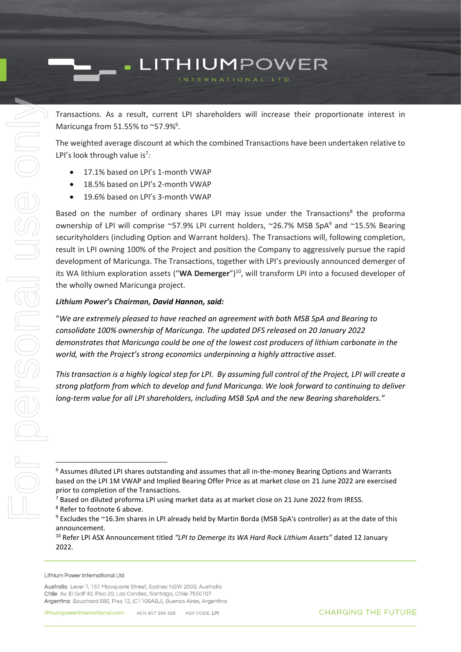Transactions. As a result, current LPI shareholders will increase their proportionate interest in Maricunga from 51.55% to ~57.9%<sup>6</sup>.

The weighted average discount at which the combined Transactions have been undertaken relative to LPI's look through value is<sup>7</sup>:

- <span id="page-2-0"></span>• 17.1% based on LPI's 1-month VWAP
- 18.5% based on LPI's 2-month VWAP
- 19.6% based on LPI's 3-month VWAP

Based on the number of ordinary shares LPI may issue under the Transactions<sup>8</sup> the proforma ownership of LPI will comprise ~57.9% LPI current holders, ~26.7% MSB SpA<sup>9</sup> and ~15.5% Bearing securityholders (including Option and Warrant holders). The Transactions will, following completion, result in LPI owning 100% of the Project and position the Company to aggressively pursue the rapid development of Maricunga. The Transactions, together with LPI's previously announced demerger of its WA lithium exploration assets ("WA Demerger")<sup>10</sup>, will transform LPI into a focused developer of the wholly owned Maricunga project.

#### *Lithium Power's Chairman, David Hannon, said:*

"*We are extremely pleased to have reached an agreement with both MSB SpA and Bearing to consolidate 100% ownership of Maricunga. The updated DFS released on 20 January 2022 demonstrates that Maricunga could be one of the lowest cost producers of lithium carbonate in the world, with the Project's strong economics underpinning a highly attractive asset.* 

*This transaction is a highly logical step for LPI. By assuming full control of the Project, LPI will create a strong platform from which to develop and fund Maricunga. We look forward to continuing to deliver long-term value for all LPI shareholders, including MSB SpA and the new Bearing shareholders."* 

Lithium Power International Ltd

<sup>6</sup> Assumes diluted LPI shares outstanding and assumes that all in-the-money Bearing Options and Warrants based on the LPI 1M VWAP and Implied Bearing Offer Price as at market close on 21 June 2022 are exercised prior to completion of the Transactions.

 $7$  Based on diluted proforma LPI using market data as at market close on 21 June 2022 from IRESS. <sup>8</sup> Refer to footnot[e 6](#page-2-0) above.

<sup>9</sup> Excludes the ~16.3m shares in LPI already held by Martin Borda (MSB SpA's controller) as at the date of this announcement.

<sup>10</sup> Refer LPI ASX Announcement titled *"LPI to Demerge its WA Hard Rock Lithium Assets"* dated 12 January 2022.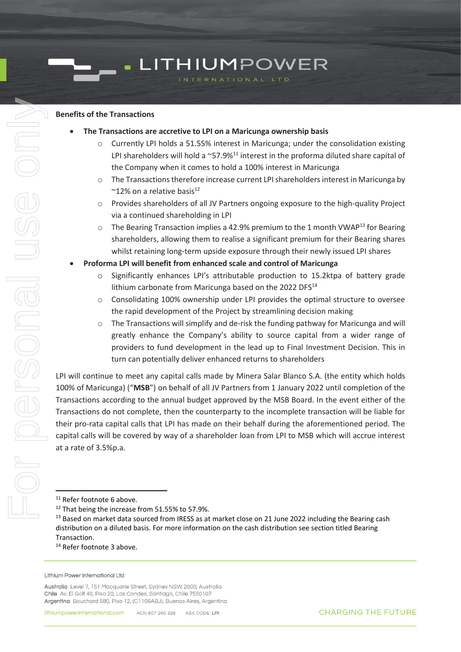#### **Benefits of the Transactions**

- **The Transactions are accretive to LPI on a Maricunga ownership basis**
	- $\circ$  Currently LPI holds a 51.55% interest in Maricunga; under the consolidation existing LPI shareholders will hold a  $\sim$ 57.9%<sup>11</sup> interest in the proforma diluted share capital of the Company when it comes to hold a 100% interest in Maricunga
	- o The Transactions therefore increase current LPI shareholders interest in Maricunga by  $~^{\sim}$ 12% on a relative basis<sup>12</sup>
	- o Provides shareholders of all JV Partners ongoing exposure to the high-quality Project via a continued shareholding in LPI
	- $\circ$  The Bearing Transaction implies a 42.9% premium to the 1 month VWAP<sup>13</sup> for Bearing shareholders, allowing them to realise a significant premium for their Bearing shares whilst retaining long-term upside exposure through their newly issued LPI shares
- **Proforma LPI will benefit from enhanced scale and control of Maricunga**
	- Significantly enhances LPI's attributable production to 15.2ktpa of battery grade lithium carbonate from Maricunga based on the 2022 DFS $^{14}$
	- o Consolidating 100% ownership under LPI provides the optimal structure to oversee the rapid development of the Project by streamlining decision making
	- o The Transactions will simplify and de-risk the funding pathway for Maricunga and will greatly enhance the Company's ability to source capital from a wider range of providers to fund development in the lead up to Final Investment Decision. This in turn can potentially deliver enhanced returns to shareholders

LPI will continue to meet any capital calls made by Minera Salar Blanco S.A. (the entity which holds 100% of Maricunga) ("**MSB**") on behalf of all JV Partners from 1 January 2022 until completion of the Transactions according to the annual budget approved by the MSB Board. In the event either of the Transactions do not complete, then the counterparty to the incomplete transaction will be liable for their pro-rata capital calls that LPI has made on their behalf during the aforementioned period. The capital calls will be covered by way of a shareholder loan from LPI to MSB which will accrue interest at a rate of 3.5%p.a.

<sup>14</sup> Refer footnote [3](#page-0-0) above.

<sup>&</sup>lt;sup>11</sup> Refer footnote [6](#page-2-0) above.

<sup>&</sup>lt;sup>12</sup> That being the increase from 51.55% to 57.9%.

<sup>&</sup>lt;sup>13</sup> Based on market data sourced from IRESS as at market close on 21 June 2022 including the Bearing cash distribution on a diluted basis. For more information on the cash distribution see section titled Bearing Transaction.

Lithium Power International Ltd

Australia Level 7, 151 Macquarie Street, Sydney NSW 2000, Australia Chile Av. El Golf 40, Piso 20, Las Condes, Santiago, Chile 7550107 Argentina Bouchard 680, Piso 12, (C1106ABJ), Buenos Aires, Argentina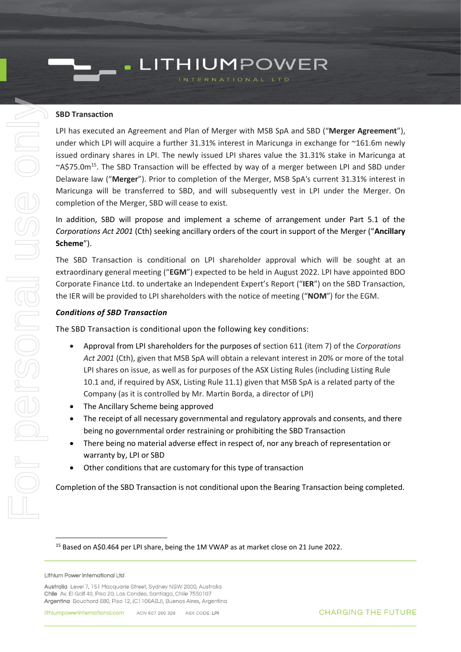#### **SBD Transaction**

LPI has executed an Agreement and Plan of Merger with MSB SpA and SBD ("**Merger Agreement**"), under which LPI will acquire a further 31.31% interest in Maricunga in exchange for ~161.6m newly issued ordinary shares in LPI. The newly issued LPI shares value the 31.31% stake in Maricunga at ~A\$75.0m<sup>15</sup>. The SBD Transaction will be effected by way of a merger between LPI and SBD under Delaware law ("**Merger**"). Prior to completion of the Merger, MSB SpA's current 31.31% interest in Maricunga will be transferred to SBD, and will subsequently vest in LPI under the Merger. On completion of the Merger, SBD will cease to exist.

In addition, SBD will propose and implement a scheme of arrangement under Part 5.1 of the *Corporations Act 2001* (Cth) seeking ancillary orders of the court in support of the Merger ("**Ancillary Scheme**").

The SBD Transaction is conditional on LPI shareholder approval which will be sought at an extraordinary general meeting ("**EGM**") expected to be held in August 2022. LPI have appointed BDO Corporate Finance Ltd. to undertake an Independent Expert's Report ("**IER**") on the SBD Transaction, the IER will be provided to LPI shareholders with the notice of meeting ("**NOM**") for the EGM.

#### *Conditions of SBD Transaction*

The SBD Transaction is conditional upon the following key conditions:

- Approval from LPI shareholders for the purposes of section 611 (item 7) of the *Corporations Act 2001* (Cth), given that MSB SpA will obtain a relevant interest in 20% or more of the total LPI shares on issue, as well as for purposes of the ASX Listing Rules (including Listing Rule 10.1 and, if required by ASX, Listing Rule 11.1) given that MSB SpA is a related party of the Company (as it is controlled by Mr. Martin Borda, a director of LPI)
- The Ancillary Scheme being approved
- The receipt of all necessary governmental and regulatory approvals and consents, and there being no governmental order restraining or prohibiting the SBD Transaction
- There being no material adverse effect in respect of, nor any breach of representation or warranty by, LPI or SBD
- Other conditions that are customary for this type of transaction

Completion of the SBD Transaction is not conditional upon the Bearing Transaction being completed.

<sup>&</sup>lt;sup>15</sup> Based on A\$0.464 per LPI share, being the 1M VWAP as at market close on 21 June 2022.

Lithium Power International Ltd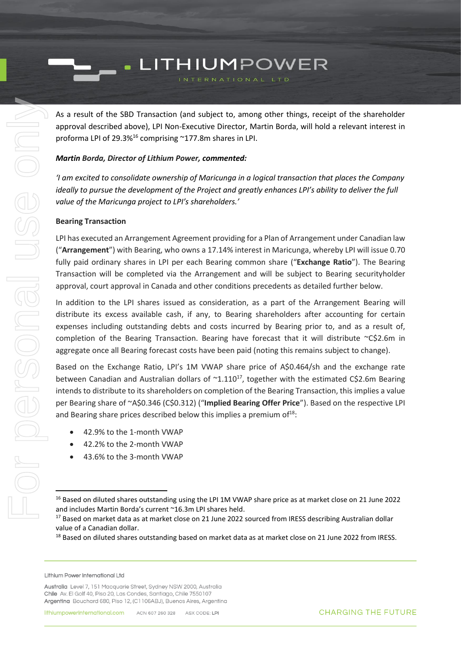As a result of the SBD Transaction (and subject to, among other things, receipt of the shareholder approval described above), LPI Non-Executive Director, Martin Borda, will hold a relevant interest in proforma LPI of 29.3%<sup>16</sup> comprising ~177.8m shares in LPI.

#### *Martin Borda, Director of Lithium Power, commented:*

*'I am excited to consolidate ownership of Maricunga in a logical transaction that places the Company ideally to pursue the development of the Project and greatly enhances LPI's ability to deliver the full value of the Maricunga project to LPI's shareholders.'*

#### **Bearing Transaction**

LPI has executed an Arrangement Agreement providing for a Plan of Arrangement under Canadian law ("**Arrangement**") with Bearing, who owns a 17.14% interest in Maricunga, whereby LPI will issue 0.70 fully paid ordinary shares in LPI per each Bearing common share ("**Exchange Ratio**"). The Bearing Transaction will be completed via the Arrangement and will be subject to Bearing securityholder approval, court approval in Canada and other conditions precedents as detailed further below.

In addition to the LPI shares issued as consideration, as a part of the Arrangement Bearing will distribute its excess available cash, if any, to Bearing shareholders after accounting for certain expenses including outstanding debts and costs incurred by Bearing prior to, and as a result of, completion of the Bearing Transaction. Bearing have forecast that it will distribute ~C\$2.6m in aggregate once all Bearing forecast costs have been paid (noting this remains subject to change).

Based on the Exchange Ratio, LPI's 1M VWAP share price of A\$0.464/sh and the exchange rate between Canadian and Australian dollars of  $\sim 1.110^{17}$ , together with the estimated C\$2.6m Bearing intends to distribute to its shareholders on completion of the Bearing Transaction, this implies a value per Bearing share of ~A\$0.346 (C\$0.312) ("**Implied Bearing Offer Price**"). Based on the respective LPI and Bearing share prices described below this implies a premium of $18$ :

- 42.9% to the 1-month VWAP
- 42.2% to the 2-month VWAP
- 43.6% to the 3-month VWAP

<sup>&</sup>lt;sup>16</sup> Based on diluted shares outstanding using the LPI 1M VWAP share price as at market close on 21 June 2022 and includes Martin Borda's current ~16.3m LPI shares held.

<sup>&</sup>lt;sup>17</sup> Based on market data as at market close on 21 June 2022 sourced from IRESS describing Australian dollar value of a Canadian dollar.

<sup>&</sup>lt;sup>18</sup> Based on diluted shares outstanding based on market data as at market close on 21 June 2022 from IRESS.

Lithium Power International Ltd

Australia Level 7, 151 Macquarie Street, Sydney NSW 2000, Australia Chile Av. El Golf 40, Piso 20, Las Condes, Santiago, Chile 7550107 Argentina Bouchard 680, Piso 12, (C1106ABJ), Buenos Aires, Argentina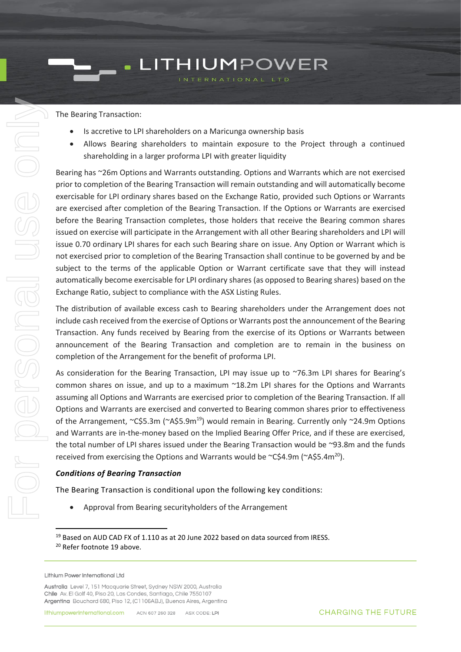The Bearing Transaction:

For personal use only

J IBONSONS

 $\odot$  0

- Is accretive to LPI shareholders on a Maricunga ownership basis
- Allows Bearing shareholders to maintain exposure to the Project through a continued shareholding in a larger proforma LPI with greater liquidity

Bearing has ~26m Options and Warrants outstanding. Options and Warrants which are not exercised prior to completion of the Bearing Transaction will remain outstanding and will automatically become exercisable for LPI ordinary shares based on the Exchange Ratio, provided such Options or Warrants are exercised after completion of the Bearing Transaction. If the Options or Warrants are exercised before the Bearing Transaction completes, those holders that receive the Bearing common shares issued on exercise will participate in the Arrangement with all other Bearing shareholders and LPI will issue 0.70 ordinary LPI shares for each such Bearing share on issue. Any Option or Warrant which is not exercised prior to completion of the Bearing Transaction shall continue to be governed by and be subject to the terms of the applicable Option or Warrant certificate save that they will instead automatically become exercisable for LPI ordinary shares (as opposed to Bearing shares) based on the Exchange Ratio, subject to compliance with the ASX Listing Rules.

The distribution of available excess cash to Bearing shareholders under the Arrangement does not include cash received from the exercise of Options or Warrants post the announcement of the Bearing Transaction. Any funds received by Bearing from the exercise of its Options or Warrants between announcement of the Bearing Transaction and completion are to remain in the business on completion of the Arrangement for the benefit of proforma LPI.

<span id="page-6-0"></span>As consideration for the Bearing Transaction, LPI may issue up to ~76.3m LPI shares for Bearing's common shares on issue, and up to a maximum ~18.2m LPI shares for the Options and Warrants assuming all Options and Warrants are exercised prior to completion of the Bearing Transaction. If all Options and Warrants are exercised and converted to Bearing common shares prior to effectiveness of the Arrangement, ~C\$5.3m (~A\$5.9m<sup>19</sup>) would remain in Bearing. Currently only ~24.9m Options and Warrants are in-the-money based on the Implied Bearing Offer Price, and if these are exercised, the total number of LPI shares issued under the Bearing Transaction would be ~93.8m and the funds received from exercising the Options and Warrants would be ~C\$4.9m (~A\$5.4m<sup>20</sup>).

#### *Conditions of Bearing Transaction*

The Bearing Transaction is conditional upon the following key conditions:

• Approval from Bearing securityholders of the Arrangement

<sup>&</sup>lt;sup>19</sup> Based on AUD CAD FX of 1.110 as at 20 June 2022 based on data sourced from IRESS.

<sup>20</sup> Refer footnote [19](#page-6-0) above.

Lithium Power International Ltd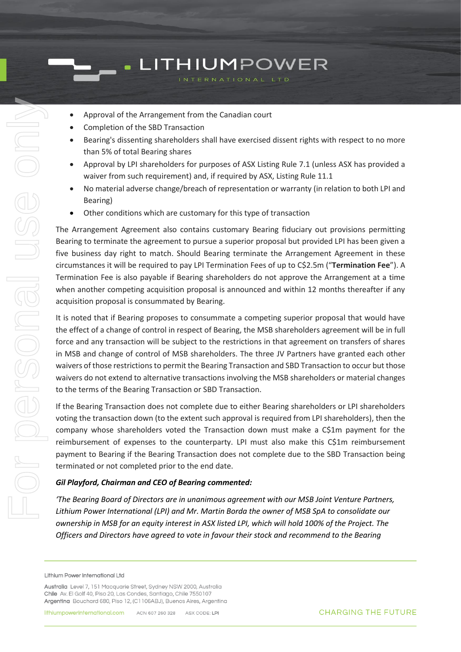- Approval of the Arrangement from the Canadian court
- Completion of the SBD Transaction
- Bearing's dissenting shareholders shall have exercised dissent rights with respect to no more than 5% of total Bearing shares
- Approval by LPI shareholders for purposes of ASX Listing Rule 7.1 (unless ASX has provided a waiver from such requirement) and, if required by ASX, Listing Rule 11.1
- No material adverse change/breach of representation or warranty (in relation to both LPI and Bearing)
- Other conditions which are customary for this type of transaction

The Arrangement Agreement also contains customary Bearing fiduciary out provisions permitting Bearing to terminate the agreement to pursue a superior proposal but provided LPI has been given a five business day right to match. Should Bearing terminate the Arrangement Agreement in these circumstances it will be required to pay LPI Termination Fees of up to C\$2.5m ("**Termination Fee**"). A Termination Fee is also payable if Bearing shareholders do not approve the Arrangement at a time when another competing acquisition proposal is announced and within 12 months thereafter if any acquisition proposal is consummated by Bearing.

It is noted that if Bearing proposes to consummate a competing superior proposal that would have the effect of a change of control in respect of Bearing, the MSB shareholders agreement will be in full force and any transaction will be subject to the restrictions in that agreement on transfers of shares in MSB and change of control of MSB shareholders. The three JV Partners have granted each other waivers of those restrictions to permit the Bearing Transaction and SBD Transaction to occur but those waivers do not extend to alternative transactions involving the MSB shareholders or material changes to the terms of the Bearing Transaction or SBD Transaction.

If the Bearing Transaction does not complete due to either Bearing shareholders or LPI shareholders voting the transaction down (to the extent such approval is required from LPI shareholders), then the company whose shareholders voted the Transaction down must make a C\$1m payment for the reimbursement of expenses to the counterparty. LPI must also make this C\$1m reimbursement payment to Bearing if the Bearing Transaction does not complete due to the SBD Transaction being terminated or not completed prior to the end date.

#### *Gil Playford, Chairman and CEO of Bearing commented:*

*'The Bearing Board of Directors are in unanimous agreement with our MSB Joint Venture Partners, Lithium Power International (LPI) and Mr. Martin Borda the owner of MSB SpA to consolidate our ownership in MSB for an equity interest in ASX listed LPI, which will hold 100% of the Project. The Officers and Directors have agreed to vote in favour their stock and recommend to the Bearing* 

Lithium Power International Ltd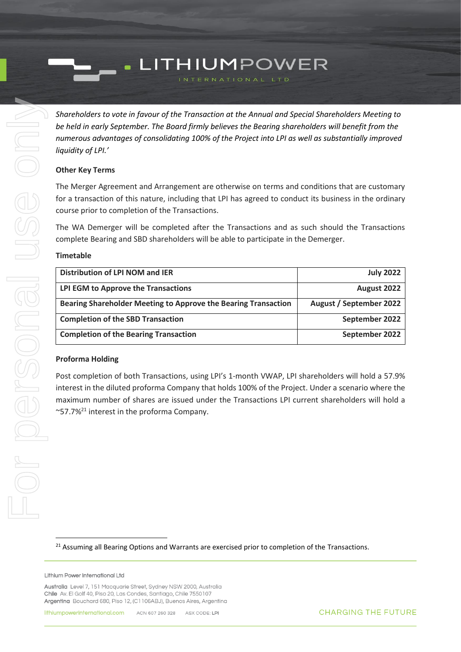*Shareholders to vote in favour of the Transaction at the Annual and Special Shareholders Meeting to be held in early September. The Board firmly believes the Bearing shareholders will benefit from the numerous advantages of consolidating 100% of the Project into LPI as well as substantially improved liquidity of LPI.'*

#### **Other Key Terms**

The Merger Agreement and Arrangement are otherwise on terms and conditions that are customary for a transaction of this nature, including that LPI has agreed to conduct its business in the ordinary course prior to completion of the Transactions.

The WA Demerger will be completed after the Transactions and as such should the Transactions complete Bearing and SBD shareholders will be able to participate in the Demerger.

#### **Timetable**

| Distribution of LPI NOM and IER                                | <b>July 2022</b>               |
|----------------------------------------------------------------|--------------------------------|
| LPI EGM to Approve the Transactions                            | August 2022                    |
| Bearing Shareholder Meeting to Approve the Bearing Transaction | <b>August / September 2022</b> |
| <b>Completion of the SBD Transaction</b>                       | September 2022                 |
| <b>Completion of the Bearing Transaction</b>                   | September 2022                 |

#### **Proforma Holding**

Post completion of both Transactions, using LPI's 1-month VWAP, LPI shareholders will hold a 57.9% interest in the diluted proforma Company that holds 100% of the Project. Under a scenario where the maximum number of shares are issued under the Transactions LPI current shareholders will hold a ~57.7% <sup>21</sup> interest in the proforma Company.

<sup>21</sup> Assuming all Bearing Options and Warrants are exercised prior to completion of the Transactions.

#### Lithium Power International Ltd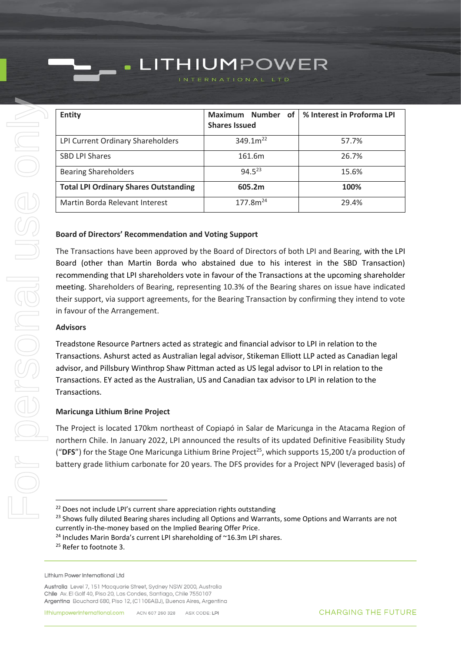### **Entity Maximum Number of Shares Issued % Interest in Proforma LPI** LPI Current Ordinary Shareholders  $\vert$  349.1m<sup>22</sup> 57.7% SBD LPI Shares **161.6m** 26.7%

LITHIUMPOWER

Bearing Shareholders  $94.5^{23}$  94.5<sup>23</sup> 15.6%

**Total LPI Ordinary Shares Outstanding 605.2m 100%** Martin Borda Relevant Interest  $177.8m^{24}$  19.4%

| <b>Board of Directors' Recommendation and Voting Support</b> |
|--------------------------------------------------------------|
|--------------------------------------------------------------|

 $\blacksquare$ 

The Transactions have been approved by the Board of Directors of both LPI and Bearing, with the LPI Board (other than Martin Borda who abstained due to his interest in the SBD Transaction) recommending that LPI shareholders vote in favour of the Transactions at the upcoming shareholder meeting. Shareholders of Bearing, representing 10.3% of the Bearing shares on issue have indicated their support, via support agreements, for the Bearing Transaction by confirming they intend to vote in favour of the Arrangement.

#### **Advisors**

Treadstone Resource Partners acted as strategic and financial advisor to LPI in relation to the Transactions. Ashurst acted as Australian legal advisor, Stikeman Elliott LLP acted as Canadian legal advisor, and Pillsbury Winthrop Shaw Pittman acted as US legal advisor to LPI in relation to the Transactions. EY acted as the Australian, US and Canadian tax advisor to LPI in relation to the Transactions.

#### **Maricunga Lithium Brine Project**

The Project is located 170km northeast of Copiapó in Salar de Maricunga in the Atacama Region of northern Chile. In January 2022, LPI announced the results of its updated Definitive Feasibility Study ("DFS") for the Stage One Maricunga Lithium Brine Project<sup>25</sup>, which supports 15,200 t/a production of battery grade lithium carbonate for 20 years. The DFS provides for a Project NPV (leveraged basis) of

<sup>&</sup>lt;sup>22</sup> Does not include LPI's current share appreciation rights outstanding

<sup>&</sup>lt;sup>23</sup> Shows fully diluted Bearing shares including all Options and Warrants, some Options and Warrants are not currently in-the-money based on the Implied Bearing Offer Price.

<sup>&</sup>lt;sup>24</sup> Includes Marin Borda's current LPI shareholding of ~16.3m LPI shares.

<sup>&</sup>lt;sup>25</sup> Refer to footnote [3.](#page-0-0)

Lithium Power International Ltd

Australia Level 7, 151 Macquarie Street, Sydney NSW 2000, Australia Chile Av. El Golf 40, Piso 20, Las Condes, Santiago, Chile 7550107 Argentina Bouchard 680, Piso 12, (C1106ABJ), Buenos Aires, Argentina